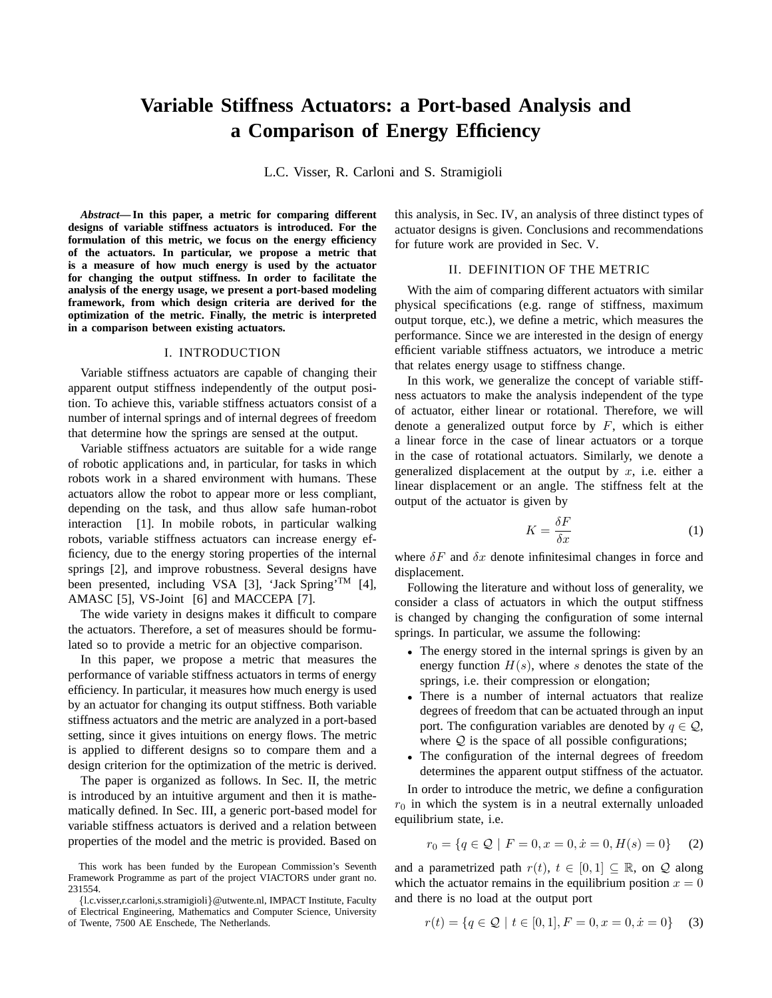# **Variable Stiffness Actuators: a Port-based Analysis and a Comparison of Energy Efficiency**

L.C. Visser, R. Carloni and S. Stramigioli

*Abstract***— In this paper, a metric for comparing different designs of variable stiffness actuators is introduced. For the formulation of this metric, we focus on the energy efficiency of the actuators. In particular, we propose a metric that is a measure of how much energy is used by the actuator for changing the output stiffness. In order to facilitate the analysis of the energy usage, we present a port-based modeling framework, from which design criteria are derived for the optimization of the metric. Finally, the metric is interpreted in a comparison between existing actuators.**

#### I. INTRODUCTION

Variable stiffness actuators are capable of changing their apparent output stiffness independently of the output position. To achieve this, variable stiffness actuators consist of a number of internal springs and of internal degrees of freedom that determine how the springs are sensed at the output.

Variable stiffness actuators are suitable for a wide range of robotic applications and, in particular, for tasks in which robots work in a shared environment with humans. These actuators allow the robot to appear more or less compliant, depending on the task, and thus allow safe human-robot interaction [1]. In mobile robots, in particular walking robots, variable stiffness actuators can increase energy efficiency, due to the energy storing properties of the internal springs [2], and improve robustness. Several designs have been presented, including VSA [3], 'Jack Spring'<sup>TM</sup> [4], AMASC [5], VS-Joint [6] and MACCEPA [7].

The wide variety in designs makes it difficult to compare the actuators. Therefore, a set of measures should be formulated so to provide a metric for an objective comparison.

In this paper, we propose a metric that measures the performance of variable stiffness actuators in terms of energy efficiency. In particular, it measures how much energy is used by an actuator for changing its output stiffness. Both variable stiffness actuators and the metric are analyzed in a port-based setting, since it gives intuitions on energy flows. The metric is applied to different designs so to compare them and a design criterion for the optimization of the metric is derived.

The paper is organized as follows. In Sec. II, the metric is introduced by an intuitive argument and then it is mathematically defined. In Sec. III, a generic port-based model for variable stiffness actuators is derived and a relation between properties of the model and the metric is provided. Based on

this analysis, in Sec. IV, an analysis of three distinct types of actuator designs is given. Conclusions and recommendations for future work are provided in Sec. V.

# II. DEFINITION OF THE METRIC

With the aim of comparing different actuators with similar physical specifications (e.g. range of stiffness, maximum output torque, etc.), we define a metric, which measures the performance. Since we are interested in the design of energy efficient variable stiffness actuators, we introduce a metric that relates energy usage to stiffness change.

In this work, we generalize the concept of variable stiffness actuators to make the analysis independent of the type of actuator, either linear or rotational. Therefore, we will denote a generalized output force by  $F$ , which is either a linear force in the case of linear actuators or a torque in the case of rotational actuators. Similarly, we denote a generalized displacement at the output by  $x$ , i.e. either a linear displacement or an angle. The stiffness felt at the output of the actuator is given by

$$
K = \frac{\delta F}{\delta x} \tag{1}
$$

where  $\delta F$  and  $\delta x$  denote infinitesimal changes in force and displacement.

Following the literature and without loss of generality, we consider a class of actuators in which the output stiffness is changed by changing the configuration of some internal springs. In particular, we assume the following:

- The energy stored in the internal springs is given by an energy function  $H(s)$ , where s denotes the state of the springs, i.e. their compression or elongation;
- There is a number of internal actuators that realize degrees of freedom that can be actuated through an input port. The configuration variables are denoted by  $q \in \mathcal{Q}$ , where  $Q$  is the space of all possible configurations;
- The configuration of the internal degrees of freedom determines the apparent output stiffness of the actuator.

In order to introduce the metric, we define a configuration  $r_0$  in which the system is in a neutral externally unloaded equilibrium state, i.e.

$$
r_0 = \{ q \in \mathcal{Q} \mid F = 0, x = 0, \dot{x} = 0, H(s) = 0 \}
$$
 (2)

and a parametrized path  $r(t)$ ,  $t \in [0, 1] \subset \mathbb{R}$ , on Q along which the actuator remains in the equilibrium position  $x = 0$ and there is no load at the output port

$$
r(t) = \{q \in \mathcal{Q} \mid t \in [0, 1], F = 0, x = 0, \dot{x} = 0\}
$$
 (3)

This work has been funded by the European Commission's Seventh Framework Programme as part of the project VIACTORS under grant no. 231554.

<sup>{</sup>l.c.visser,r.carloni,s.stramigioli}@utwente.nl, IMPACT Institute, Faculty of Electrical Engineering, Mathematics and Computer Science, University of Twente, 7500 AE Enschede, The Netherlands.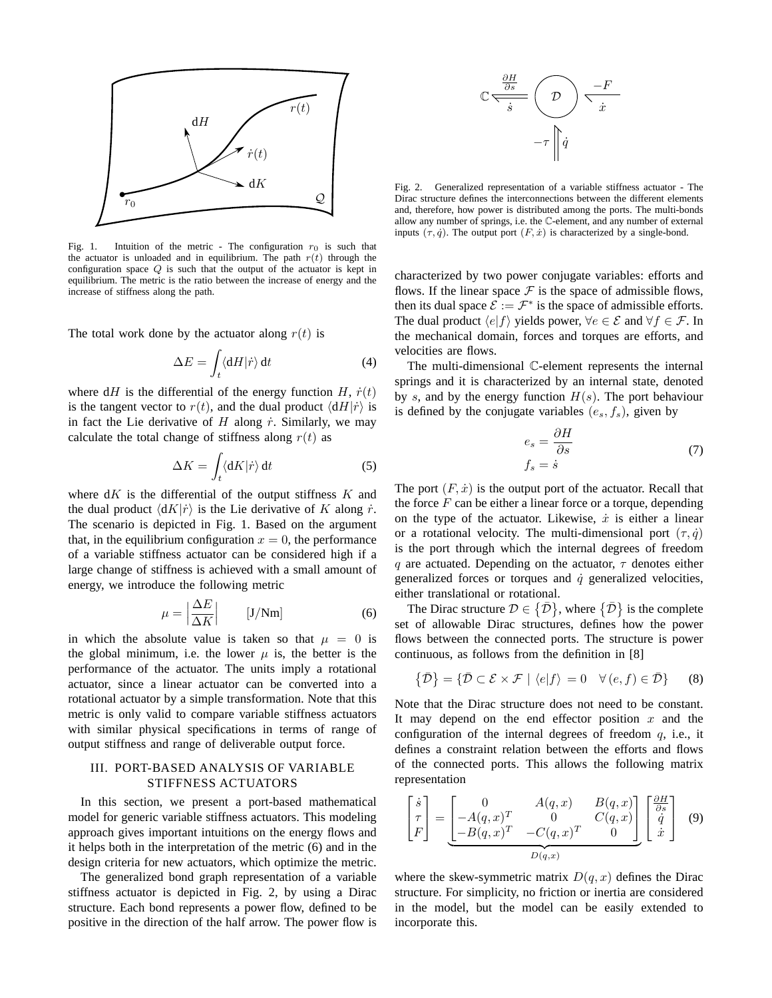

Fig. 1. Intuition of the metric - The configuration  $r_0$  is such that the actuator is unloaded and in equilibrium. The path  $r(t)$  through the configuration space Q is such that the output of the actuator is kept in equilibrium. The metric is the ratio between the increase of energy and the increase of stiffness along the path.

The total work done by the actuator along  $r(t)$  is

$$
\Delta E = \int_{t} \langle \mathbf{d}H | \dot{r} \rangle \, \mathbf{d}t \tag{4}
$$

where  $dH$  is the differential of the energy function H,  $\dot{r}(t)$ is the tangent vector to  $r(t)$ , and the dual product  $\langle dH|\dot{r}\rangle$  is in fact the Lie derivative of  $H$  along  $\dot{r}$ . Similarly, we may calculate the total change of stiffness along  $r(t)$  as

$$
\Delta K = \int_{t} \langle \mathrm{d}K | \dot{r} \rangle \, \mathrm{d}t \tag{5}
$$

where  $dK$  is the differential of the output stiffness  $K$  and the dual product  $\langle dK|\dot{r}\rangle$  is the Lie derivative of K along  $\dot{r}$ . The scenario is depicted in Fig. 1. Based on the argument that, in the equilibrium configuration  $x = 0$ , the performance of a variable stiffness actuator can be considered high if a large change of stiffness is achieved with a small amount of energy, we introduce the following metric

$$
\mu = \left| \frac{\Delta E}{\Delta K} \right| \qquad [\text{J/Nm}] \tag{6}
$$

in which the absolute value is taken so that  $\mu = 0$  is the global minimum, i.e. the lower  $\mu$  is, the better is the performance of the actuator. The units imply a rotational actuator, since a linear actuator can be converted into a rotational actuator by a simple transformation. Note that this metric is only valid to compare variable stiffness actuators with similar physical specifications in terms of range of output stiffness and range of deliverable output force.

### III. PORT-BASED ANALYSIS OF VARIABLE STIFFNESS ACTUATORS

In this section, we present a port-based mathematical model for generic variable stiffness actuators. This modeling approach gives important intuitions on the energy flows and it helps both in the interpretation of the metric (6) and in the design criteria for new actuators, which optimize the metric.

The generalized bond graph representation of a variable stiffness actuator is depicted in Fig. 2, by using a Dirac structure. Each bond represents a power flow, defined to be positive in the direction of the half arrow. The power flow is



Fig. 2. Generalized representation of a variable stiffness actuator - The Dirac structure defines the interconnections between the different elements and, therefore, how power is distributed among the ports. The multi-bonds allow any number of springs, i.e. the C-element, and any number of external inputs  $(\tau, \dot{q})$ . The output port  $(F, \dot{x})$  is characterized by a single-bond.

characterized by two power conjugate variables: efforts and flows. If the linear space  $\mathcal F$  is the space of admissible flows, then its dual space  $\mathcal{E} := \mathcal{F}^*$  is the space of admissible efforts. The dual product  $\langle e|f \rangle$  yields power,  $\forall e \in \mathcal{E}$  and  $\forall f \in \mathcal{F}$ . In the mechanical domain, forces and torques are efforts, and velocities are flows.

The multi-dimensional C-element represents the internal springs and it is characterized by an internal state, denoted by s, and by the energy function  $H(s)$ . The port behaviour is defined by the conjugate variables  $(e_s, f_s)$ , given by

$$
e_s = \frac{\partial H}{\partial s} \tag{7}
$$

$$
f_s = \dot{s}
$$

The port  $(F, \dot{x})$  is the output port of the actuator. Recall that the force  $F$  can be either a linear force or a torque, depending on the type of the actuator. Likewise,  $\dot{x}$  is either a linear or a rotational velocity. The multi-dimensional port  $(\tau, \dot{q})$ is the port through which the internal degrees of freedom q are actuated. Depending on the actuator,  $\tau$  denotes either generalized forces or torques and  $\dot{q}$  generalized velocities, either translational or rotational.

The Dirac structure  $\mathcal{D} \in {\{\bar{\mathcal{D}}\}}$ , where  ${\{\bar{\mathcal{D}}\}}$  is the complete set of allowable Dirac structures, defines how the power flows between the connected ports. The structure is power continuous, as follows from the definition in [8]

$$
\{\bar{\mathcal{D}}\} = \{\bar{\mathcal{D}} \subset \mathcal{E} \times \mathcal{F} \mid \langle e|f \rangle = 0 \quad \forall (e, f) \in \bar{\mathcal{D}}\}\tag{8}
$$

Note that the Dirac structure does not need to be constant. It may depend on the end effector position  $x$  and the configuration of the internal degrees of freedom  $q$ , i.e., it defines a constraint relation between the efforts and flows of the connected ports. This allows the following matrix representation

$$
\begin{bmatrix} \dot{s} \\ \tau \\ F \end{bmatrix} = \begin{bmatrix} 0 & A(q,x) & B(q,x) \\ -A(q,x)^T & 0 & C(q,x) \\ -B(q,x)^T & -C(q,x)^T & 0 \end{bmatrix} \begin{bmatrix} \frac{\partial H}{\partial s} \\ \dot{q} \\ \dot{x} \end{bmatrix}
$$
(9)

where the skew-symmetric matrix  $D(q, x)$  defines the Dirac structure. For simplicity, no friction or inertia are considered in the model, but the model can be easily extended to incorporate this.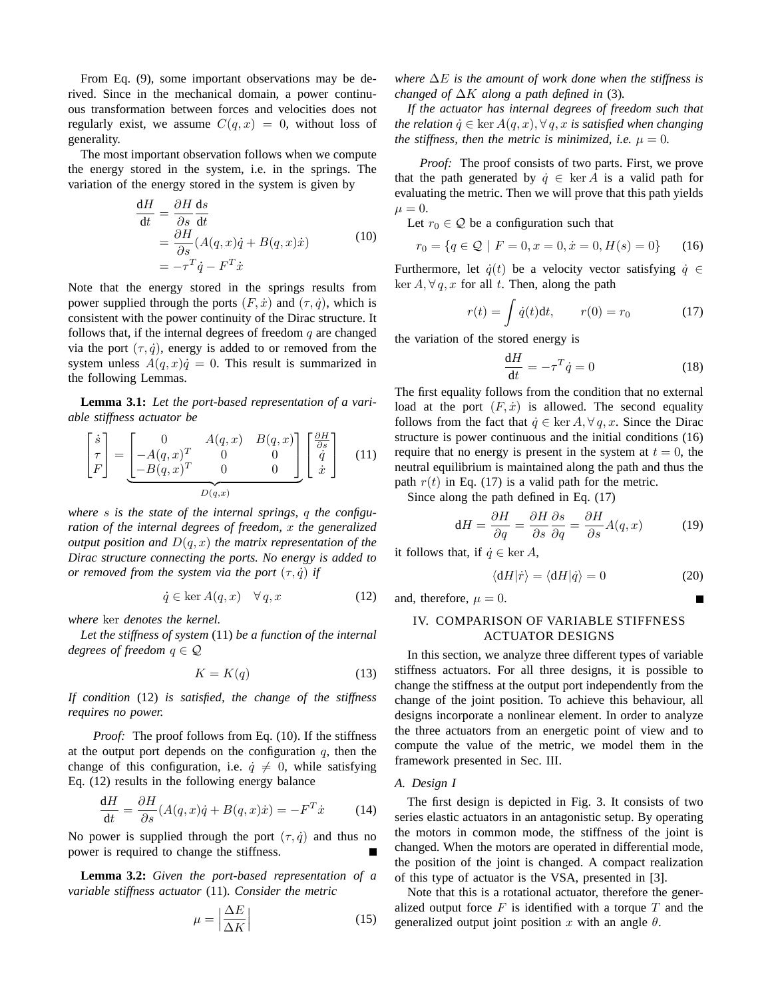From Eq. (9), some important observations may be derived. Since in the mechanical domain, a power continuous transformation between forces and velocities does not regularly exist, we assume  $C(q, x) = 0$ , without loss of generality.

The most important observation follows when we compute the energy stored in the system, i.e. in the springs. The variation of the energy stored in the system is given by

$$
\frac{dH}{dt} = \frac{\partial H}{\partial s} \frac{ds}{dt}
$$
  
= 
$$
\frac{\partial H}{\partial s} (A(q, x)\dot{q} + B(q, x)\dot{x})
$$
  
= 
$$
-\tau^T \dot{q} - F^T \dot{x}
$$
 (10)

Note that the energy stored in the springs results from power supplied through the ports  $(F, \dot{x})$  and  $(\tau, \dot{q})$ , which is consistent with the power continuity of the Dirac structure. It follows that, if the internal degrees of freedom  $q$  are changed via the port  $(\tau, \dot{q})$ , energy is added to or removed from the system unless  $A(q, x)\dot{q} = 0$ . This result is summarized in the following Lemmas.

**Lemma 3.1:** *Let the port-based representation of a variable stiffness actuator be*

$$
\begin{bmatrix} \dot{s} \\ \tau \\ F \end{bmatrix} = \underbrace{\begin{bmatrix} 0 & A(q,x) & B(q,x) \\ -A(q,x)^T & 0 & 0 \\ -B(q,x)^T & 0 & 0 \end{bmatrix}}_{D(q,x)} \begin{bmatrix} \frac{\partial H}{\partial s} \\ \dot{q} \\ \dot{x} \end{bmatrix}
$$
 (11)

*where* s *is the state of the internal springs,* q *the configuration of the internal degrees of freedom,* x *the generalized output position and* D(q, x) *the matrix representation of the Dirac structure connecting the ports. No energy is added to or removed from the system via the port*  $(\tau, \dot{q})$  *if* 

$$
\dot{q} \in \ker A(q, x) \quad \forall q, x \tag{12}
$$

*where* ker *denotes the kernel.*

*Let the stiffness of system* (11) *be a function of the internal degrees of freedom*  $q \in \mathcal{Q}$ 

$$
K = K(q) \tag{13}
$$

*If condition* (12) *is satisfied, the change of the stiffness requires no power.*

*Proof:* The proof follows from Eq. (10). If the stiffness at the output port depends on the configuration  $q$ , then the change of this configuration, i.e.  $\dot{q} \neq 0$ , while satisfying Eq. (12) results in the following energy balance

$$
\frac{dH}{dt} = \frac{\partial H}{\partial s}(A(q, x)\dot{q} + B(q, x)\dot{x}) = -F^{T}\dot{x}
$$
 (14)

No power is supplied through the port  $(\tau, \dot{q})$  and thus no power is required to change the stiffness.

**Lemma 3.2:** *Given the port-based representation of a variable stiffness actuator* (11)*. Consider the metric*

$$
\mu = \left| \frac{\Delta E}{\Delta K} \right| \tag{15}
$$

*where* ∆E *is the amount of work done when the stiffness is changed of*  $\Delta K$  *along a path defined in* (3)*.* 

*If the actuator has internal degrees of freedom such that the relation*  $\dot{q} \in \text{ker } A(q, x), \forall q, x$  *is satisfied when changing the stiffness, then the metric is minimized, i.e.*  $\mu = 0$ *.* 

*Proof:* The proof consists of two parts. First, we prove that the path generated by  $\dot{q} \in \text{ker } A$  is a valid path for evaluating the metric. Then we will prove that this path yields  $\mu = 0.$ 

Let  $r_0 \in \mathcal{Q}$  be a configuration such that

$$
r_0 = \{ q \in \mathcal{Q} \mid F = 0, x = 0, \dot{x} = 0, H(s) = 0 \}
$$
 (16)

Furthermore, let  $\dot{q}(t)$  be a velocity vector satisfying  $\dot{q} \in$ ker  $A, \forall q, x$  for all t. Then, along the path

$$
r(t) = \int \dot{q}(t)dt, \qquad r(0) = r_0 \tag{17}
$$

the variation of the stored energy is

$$
\frac{\mathrm{d}H}{\mathrm{d}t} = -\tau^T \dot{q} = 0 \tag{18}
$$

The first equality follows from the condition that no external load at the port  $(F, \dot{x})$  is allowed. The second equality follows from the fact that  $\dot{q} \in \text{ker } A, \forall q, x$ . Since the Dirac structure is power continuous and the initial conditions (16) require that no energy is present in the system at  $t = 0$ , the neutral equilibrium is maintained along the path and thus the path  $r(t)$  in Eq. (17) is a valid path for the metric.

Since along the path defined in Eq. (17)

$$
dH = \frac{\partial H}{\partial q} = \frac{\partial H}{\partial s} \frac{\partial s}{\partial q} = \frac{\partial H}{\partial s} A(q, x)
$$
(19)

it follows that, if  $\dot{q} \in \text{ker } A$ ,

$$
\langle \mathrm{d}H|\dot{r}\rangle = \langle \mathrm{d}H|\dot{q}\rangle = 0 \tag{20}
$$

and, therefore,  $\mu = 0$ .

# IV. COMPARISON OF VARIABLE STIFFNESS ACTUATOR DESIGNS

In this section, we analyze three different types of variable stiffness actuators. For all three designs, it is possible to change the stiffness at the output port independently from the change of the joint position. To achieve this behaviour, all designs incorporate a nonlinear element. In order to analyze the three actuators from an energetic point of view and to compute the value of the metric, we model them in the framework presented in Sec. III.

# *A. Design I*

The first design is depicted in Fig. 3. It consists of two series elastic actuators in an antagonistic setup. By operating the motors in common mode, the stiffness of the joint is changed. When the motors are operated in differential mode, the position of the joint is changed. A compact realization of this type of actuator is the VSA, presented in [3].

Note that this is a rotational actuator, therefore the generalized output force  $F$  is identified with a torque  $T$  and the generalized output joint position x with an angle  $\theta$ .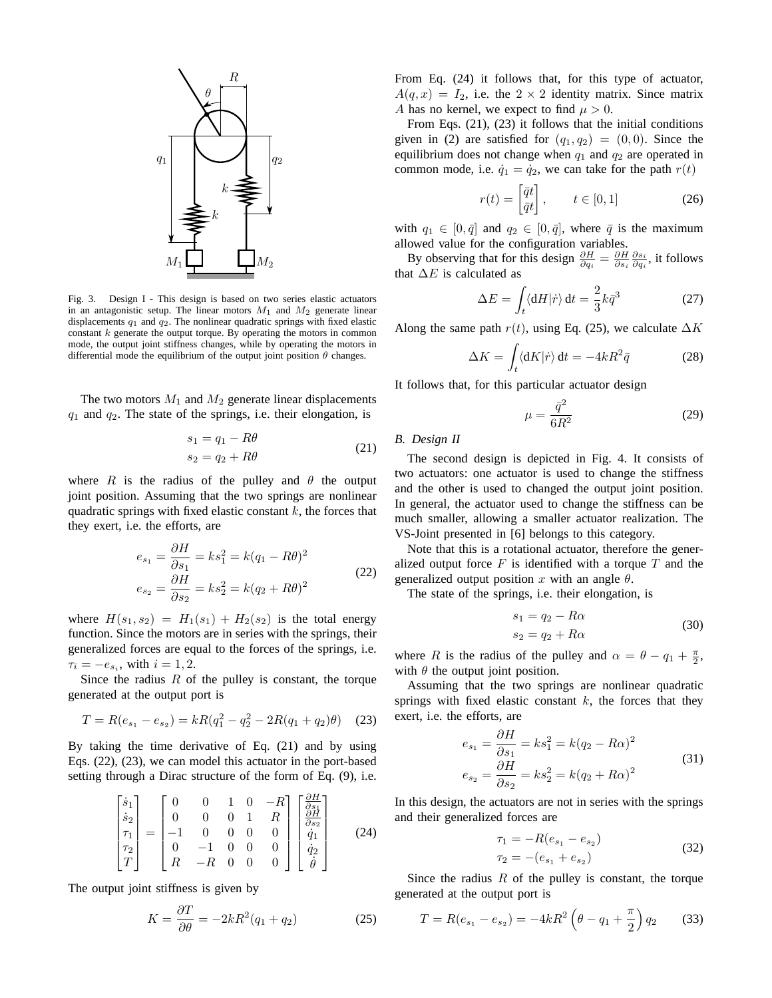

Fig. 3. Design I - This design is based on two series elastic actuators in an antagonistic setup. The linear motors  $M_1$  and  $M_2$  generate linear displacements  $q_1$  and  $q_2$ . The nonlinear quadratic springs with fixed elastic constant  $k$  generate the output torque. By operating the motors in common mode, the output joint stiffness changes, while by operating the motors in differential mode the equilibrium of the output joint position  $\theta$  changes.

The two motors  $M_1$  and  $M_2$  generate linear displacements  $q_1$  and  $q_2$ . The state of the springs, i.e. their elongation, is

$$
s_1 = q_1 - R\theta
$$
  
\n
$$
s_2 = q_2 + R\theta
$$
\n(21)

where R is the radius of the pulley and  $\theta$  the output joint position. Assuming that the two springs are nonlinear quadratic springs with fixed elastic constant  $k$ , the forces that they exert, i.e. the efforts, are

$$
e_{s_1} = \frac{\partial H}{\partial s_1} = ks_1^2 = k(q_1 - R\theta)^2
$$
  
\n
$$
e_{s_2} = \frac{\partial H}{\partial s_2} = ks_2^2 = k(q_2 + R\theta)^2
$$
\n(22)

where  $H(s_1, s_2) = H_1(s_1) + H_2(s_2)$  is the total energy function. Since the motors are in series with the springs, their generalized forces are equal to the forces of the springs, i.e.  $\tau_i = -e_{s_i}$ , with  $i = 1, 2$ .

Since the radius  $R$  of the pulley is constant, the torque generated at the output port is

$$
T = R(e_{s_1} - e_{s_2}) = kR(q_1^2 - q_2^2 - 2R(q_1 + q_2)\theta)
$$
 (23)

By taking the time derivative of Eq. (21) and by using Eqs. (22), (23), we can model this actuator in the port-based setting through a Dirac structure of the form of Eq. (9), i.e.

$$
\begin{bmatrix} \dot{s}_1 \\ \dot{s}_2 \\ \tau_1 \\ \tau_2 \\ T \end{bmatrix} = \begin{bmatrix} 0 & 0 & 1 & 0 & -R \\ 0 & 0 & 0 & 1 & R \\ -1 & 0 & 0 & 0 & 0 \\ 0 & -1 & 0 & 0 & 0 \\ R & -R & 0 & 0 & 0 \end{bmatrix} \begin{bmatrix} \frac{\partial H}{\partial s_1} \\ \frac{\partial H}{\partial s_2} \\ \dot{q}_1 \\ \dot{q}_2 \\ \dot{\theta} \end{bmatrix}
$$
 (24)

∂H

The output joint stiffness is given by

$$
K = \frac{\partial T}{\partial \theta} = -2kR^2(q_1 + q_2)
$$
 (25)

From Eq. (24) it follows that, for this type of actuator,  $A(q, x) = I_2$ , i.e. the  $2 \times 2$  identity matrix. Since matrix A has no kernel, we expect to find  $\mu > 0$ .

From Eqs. (21), (23) it follows that the initial conditions given in (2) are satisfied for  $(q_1, q_2) = (0, 0)$ . Since the equilibrium does not change when  $q_1$  and  $q_2$  are operated in common mode, i.e.  $\dot{q}_1 = \dot{q}_2$ , we can take for the path  $r(t)$ 

$$
r(t) = \begin{bmatrix} \bar{q}t \\ \bar{q}t \end{bmatrix}, \qquad t \in [0, 1]
$$
 (26)

with  $q_1 \in [0, \bar{q}]$  and  $q_2 \in [0, \bar{q}]$ , where  $\bar{q}$  is the maximum allowed value for the configuration variables.

By observing that for this design  $\frac{\partial H}{\partial q_i} = \frac{\partial H}{\partial s_i} \frac{\partial s_i}{\partial q_i}$ , it follows that  $\Delta E$  is calculated as

$$
\Delta E = \int_{t} \langle dH | \dot{r} \rangle dt = \frac{2}{3} k \bar{q}^{3}
$$
 (27)

Along the same path  $r(t)$ , using Eq. (25), we calculate  $\Delta K$ 

$$
\Delta K = \int_{t} \langle \mathrm{d}K | \dot{r} \rangle \, \mathrm{d}t = -4kR^{2} \bar{q} \tag{28}
$$

It follows that, for this particular actuator design

$$
\mu = \frac{\bar{q}^2}{6R^2} \tag{29}
$$

*B. Design II*

The second design is depicted in Fig. 4. It consists of two actuators: one actuator is used to change the stiffness and the other is used to changed the output joint position. In general, the actuator used to change the stiffness can be much smaller, allowing a smaller actuator realization. The VS-Joint presented in [6] belongs to this category.

Note that this is a rotational actuator, therefore the generalized output force  $F$  is identified with a torque  $T$  and the generalized output position x with an angle  $\theta$ .

The state of the springs, i.e. their elongation, is

$$
s_1 = q_2 - R\alpha
$$
  
\n
$$
s_2 = q_2 + R\alpha
$$
\n(30)

where R is the radius of the pulley and  $\alpha = \theta - q_1 + \frac{\pi}{2}$ , with  $\theta$  the output joint position.

Assuming that the two springs are nonlinear quadratic springs with fixed elastic constant  $k$ , the forces that they exert, i.e. the efforts, are

$$
e_{s_1} = \frac{\partial H}{\partial s_1} = ks_1^2 = k(q_2 - R\alpha)^2
$$
  
\n
$$
e_{s_2} = \frac{\partial H}{\partial s_2} = ks_2^2 = k(q_2 + R\alpha)^2
$$
\n(31)

In this design, the actuators are not in series with the springs and their generalized forces are

$$
\tau_1 = -R(e_{s_1} - e_{s_2})
$$
  
\n
$$
\tau_2 = -(e_{s_1} + e_{s_2})
$$
\n(32)

Since the radius  $R$  of the pulley is constant, the torque generated at the output port is

$$
T = R(e_{s_1} - e_{s_2}) = -4kR^2 \left(\theta - q_1 + \frac{\pi}{2}\right) q_2 \tag{33}
$$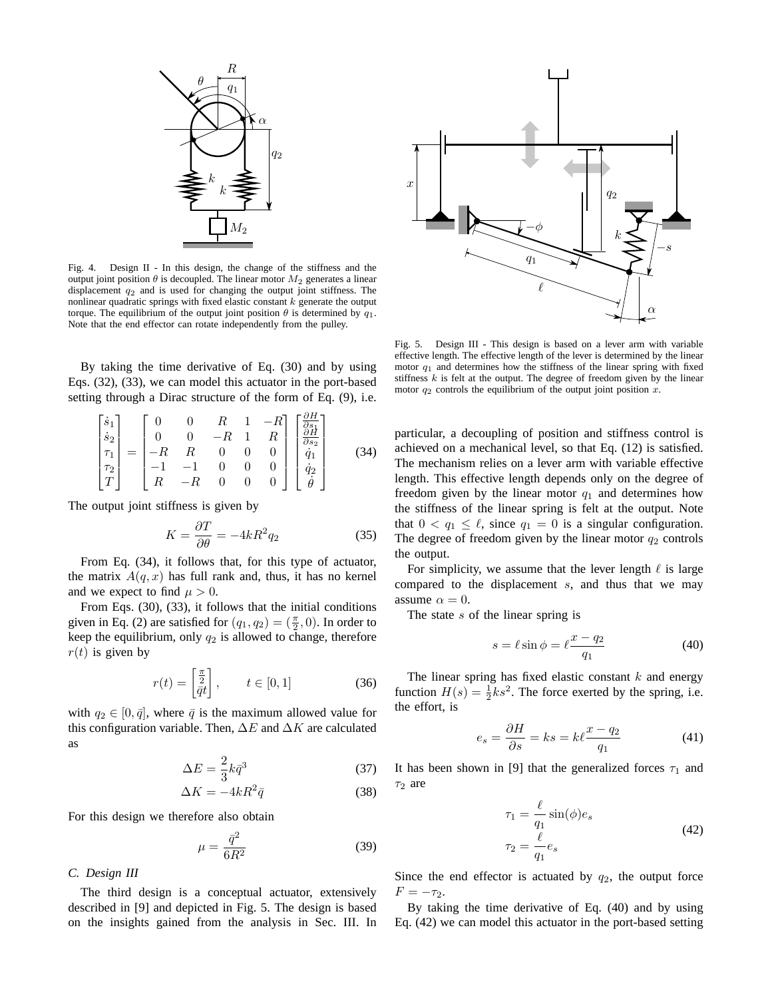

Fig. 4. Design II - In this design, the change of the stiffness and the output joint position  $\theta$  is decoupled. The linear motor  $M_2$  generates a linear displacement q2 and is used for changing the output joint stiffness. The nonlinear quadratic springs with fixed elastic constant  $k$  generate the output torque. The equilibrium of the output joint position  $\theta$  is determined by  $q_1$ . Note that the end effector can rotate independently from the pulley.

By taking the time derivative of Eq. (30) and by using Eqs. (32), (33), we can model this actuator in the port-based setting through a Dirac structure of the form of Eq. (9), i.e.

$$
\begin{bmatrix} \dot{s}_1 \\ \dot{s}_2 \\ \tau_1 \\ \tau_2 \\ T \end{bmatrix} = \begin{bmatrix} 0 & 0 & R & 1 & -R \\ 0 & 0 & -R & 1 & R \\ -R & R & 0 & 0 & 0 \\ -1 & -1 & 0 & 0 & 0 \\ R & -R & 0 & 0 & 0 \end{bmatrix} \begin{bmatrix} \frac{\partial H}{\partial s_1} \\ \frac{\partial H}{\partial s_2} \\ \dot{q}_1 \\ \dot{q}_2 \\ \dot{\theta} \end{bmatrix}
$$
(34)

The output joint stiffness is given by

$$
K = \frac{\partial T}{\partial \theta} = -4kR^2q_2 \tag{35}
$$

From Eq. (34), it follows that, for this type of actuator, the matrix  $A(q, x)$  has full rank and, thus, it has no kernel and we expect to find  $\mu > 0$ .

From Eqs. (30), (33), it follows that the initial conditions given in Eq. (2) are satisfied for  $(q_1, q_2) = (\frac{\pi}{2}, 0)$ . In order to keep the equilibrium, only  $q_2$  is allowed to change, therefore  $r(t)$  is given by

$$
r(t) = \begin{bmatrix} \frac{\pi}{2} \\ \frac{\pi}{4} \end{bmatrix}, \qquad t \in [0, 1]
$$
 (36)

with  $q_2 \in [0, \bar{q}]$ , where  $\bar{q}$  is the maximum allowed value for this configuration variable. Then,  $\Delta E$  and  $\Delta K$  are calculated as

$$
\Delta E = \frac{2}{3}k\bar{q}^3\tag{37}
$$

$$
\Delta K = -4kR^2 \bar{q} \tag{38}
$$

For this design we therefore also obtain

$$
\mu = \frac{\bar{q}^2}{6R^2} \tag{39}
$$

*C. Design III*

The third design is a conceptual actuator, extensively described in [9] and depicted in Fig. 5. The design is based on the insights gained from the analysis in Sec. III. In



Fig. 5. Design III - This design is based on a lever arm with variable effective length. The effective length of the lever is determined by the linear motor  $q_1$  and determines how the stiffness of the linear spring with fixed stiffness  $k$  is felt at the output. The degree of freedom given by the linear motor  $q_2$  controls the equilibrium of the output joint position  $x$ .

particular, a decoupling of position and stiffness control is achieved on a mechanical level, so that Eq. (12) is satisfied. The mechanism relies on a lever arm with variable effective length. This effective length depends only on the degree of freedom given by the linear motor  $q_1$  and determines how the stiffness of the linear spring is felt at the output. Note that  $0 < q_1 \leq \ell$ , since  $q_1 = 0$  is a singular configuration. The degree of freedom given by the linear motor  $q_2$  controls the output.

For simplicity, we assume that the lever length  $\ell$  is large compared to the displacement s, and thus that we may assume  $\alpha = 0$ .

The state s of the linear spring is

$$
s = \ell \sin \phi = \ell \frac{x - q_2}{q_1} \tag{40}
$$

The linear spring has fixed elastic constant  $k$  and energy function  $H(s) = \frac{1}{2}ks^2$ . The force exerted by the spring, i.e. the effort, is

$$
e_s = \frac{\partial H}{\partial s} = ks = k\ell \frac{x - q_2}{q_1} \tag{41}
$$

It has been shown in [9] that the generalized forces  $\tau_1$  and  $\tau_2$  are

$$
\tau_1 = \frac{\ell}{q_1} \sin(\phi) e_s
$$
  

$$
\tau_2 = \frac{\ell}{q_1} e_s
$$
 (42)

Since the end effector is actuated by  $q_2$ , the output force  $F = -\tau_2$ .

By taking the time derivative of Eq. (40) and by using Eq. (42) we can model this actuator in the port-based setting